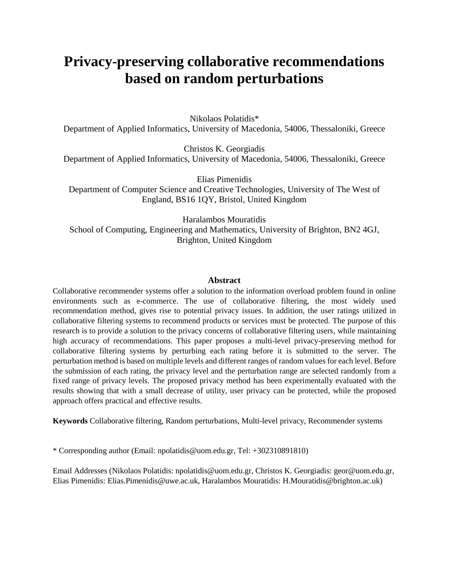# **Privacy-preserving collaborative recommendations based on random perturbations**

Nikolaos Polatidis\* Department of Applied Informatics, University of Macedonia, 54006, Thessaloniki, Greece

Christos K. Georgiadis Department of Applied Informatics, University of Macedonia, 54006, Thessaloniki, Greece

Elias Pimenidis

Department of Computer Science and Creative Technologies, University of The West of England, BS16 1QY, Bristol, United Kingdom

Haralambos Mouratidis School of Computing, Engineering and Mathematics, University of Brighton, BN2 4GJ, Brighton, United Kingdom

## **Abstract**

Collaborative recommender systems offer a solution to the information overload problem found in online environments such as e-commerce. The use of collaborative filtering, the most widely used recommendation method, gives rise to potential privacy issues. In addition, the user ratings utilized in collaborative filtering systems to recommend products or services must be protected. The purpose of this research is to provide a solution to the privacy concerns of collaborative filtering users, while maintaining high accuracy of recommendations. This paper proposes a multi-level privacy-preserving method for collaborative filtering systems by perturbing each rating before it is submitted to the server. The perturbation method is based on multiple levels and different ranges of random values for each level. Before the submission of each rating, the privacy level and the perturbation range are selected randomly from a fixed range of privacy levels. The proposed privacy method has been experimentally evaluated with the results showing that with a small decrease of utility, user privacy can be protected, while the proposed approach offers practical and effective results.

**Keywords** Collaborative filtering, Random perturbations, Multi-level privacy, Recommender systems

\* Corresponding author (Email: npolatidis@uom.edu.gr, Tel: +302310891810)

Email Addresses (Nikolaos Polatidis: npolatidis@uom.edu.gr, Christos K. Georgiadis: geor@uom.edu.gr, Elias Pimenidis: Elias.Pimenidis@uwe.ac.uk, Haralambos Mouratidis: H.Mouratidis@brighton.ac.uk)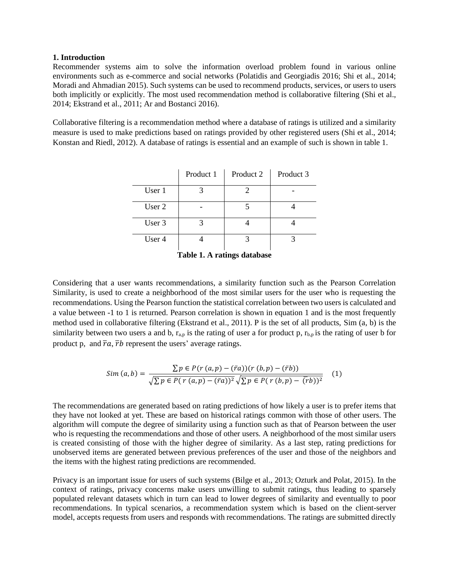#### **1. Introduction**

Recommender systems aim to solve the information overload problem found in various online environments such as e-commerce and social networks (Polatidis and Georgiadis 2016; Shi et al., 2014; Moradi and Ahmadian 2015). Such systems can be used to recommend products, services, or users to users both implicitly or explicitly. The most used recommendation method is collaborative filtering (Shi et al., 2014; Ekstrand et al., 2011; Ar and Bostanci 2016).

Collaborative filtering is a recommendation method where a database of ratings is utilized and a similarity measure is used to make predictions based on ratings provided by other registered users (Shi et al., 2014; Konstan and Riedl, 2012). A database of ratings is essential and an example of such is shown in table 1.

|        | Product 1 | Product 2 | Product 3 |
|--------|-----------|-----------|-----------|
| User 1 |           |           |           |
| User 2 |           |           |           |
| User 3 |           |           |           |
| User 4 |           |           |           |

**Table 1. A ratings database**

Considering that a user wants recommendations, a similarity function such as the Pearson Correlation Similarity, is used to create a neighborhood of the most similar users for the user who is requesting the recommendations. Using the Pearson function the statistical correlation between two users is calculated and a value between -1 to 1 is returned. Pearson correlation is shown in equation 1 and is the most frequently method used in collaborative filtering (Ekstrand et al., 2011). P is the set of all products, Sim (a, b) is the similarity between two users a and b,  $r_{a,p}$  is the rating of user a for product p,  $r_{b,p}$  is the rating of user b for product p, and  $\bar{r}a$ ,  $\bar{r}b$  represent the users' average ratings.

$$
Sim(a,b) = \frac{\sum p \in P(r(a,p) - (\bar{r}a))(r(b,p) - (\bar{r}b))}{\sqrt{\sum p \in P(r(a,p) - (\bar{r}a))^2} \sqrt{\sum p \in P(r(b,p) - (\bar{r}b))^2}}
$$
(1)

The recommendations are generated based on rating predictions of how likely a user is to prefer items that they have not looked at yet. These are based on historical ratings common with those of other users. The algorithm will compute the degree of similarity using a function such as that of Pearson between the user who is requesting the recommendations and those of other users. A neighborhood of the most similar users is created consisting of those with the higher degree of similarity. As a last step, rating predictions for unobserved items are generated between previous preferences of the user and those of the neighbors and the items with the highest rating predictions are recommended.

Privacy is an important issue for users of such systems (Bilge et al., 2013; Ozturk and Polat, 2015). In the context of ratings, privacy concerns make users unwilling to submit ratings, thus leading to sparsely populated relevant datasets which in turn can lead to lower degrees of similarity and eventually to poor recommendations. In typical scenarios, a recommendation system which is based on the client-server model, accepts requests from users and responds with recommendations. The ratings are submitted directly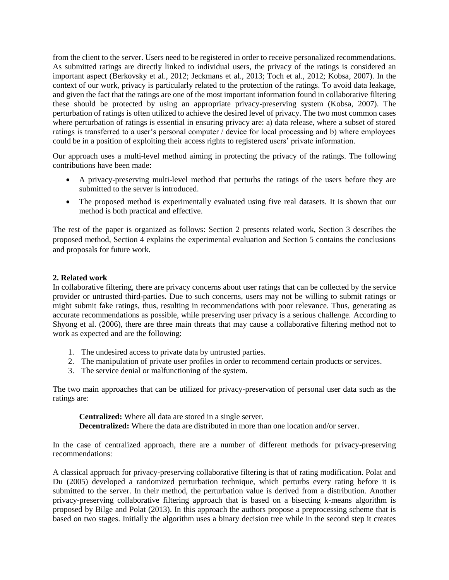from the client to the server. Users need to be registered in order to receive personalized recommendations. As submitted ratings are directly linked to individual users, the privacy of the ratings is considered an important aspect (Berkovsky et al., 2012; Jeckmans et al., 2013; Toch et al., 2012; Kobsa, 2007). In the context of our work, privacy is particularly related to the protection of the ratings. To avoid data leakage, and given the fact that the ratings are one of the most important information found in collaborative filtering these should be protected by using an appropriate privacy-preserving system (Kobsa, 2007). The perturbation of ratings is often utilized to achieve the desired level of privacy. The two most common cases where perturbation of ratings is essential in ensuring privacy are: a) data release, where a subset of stored ratings is transferred to a user's personal computer / device for local processing and b) where employees could be in a position of exploiting their access rights to registered users' private information.

Our approach uses a multi-level method aiming in protecting the privacy of the ratings. The following contributions have been made:

- A privacy-preserving multi-level method that perturbs the ratings of the users before they are submitted to the server is introduced.
- The proposed method is experimentally evaluated using five real datasets. It is shown that our method is both practical and effective.

The rest of the paper is organized as follows: Section 2 presents related work, Section 3 describes the proposed method, Section 4 explains the experimental evaluation and Section 5 contains the conclusions and proposals for future work.

## **2. Related work**

In collaborative filtering, there are privacy concerns about user ratings that can be collected by the service provider or untrusted third-parties. Due to such concerns, users may not be willing to submit ratings or might submit fake ratings, thus, resulting in recommendations with poor relevance. Thus, generating as accurate recommendations as possible, while preserving user privacy is a serious challenge. According to Shyong et al. (2006), there are three main threats that may cause a collaborative filtering method not to work as expected and are the following:

- 1. The undesired access to private data by untrusted parties.
- 2. The manipulation of private user profiles in order to recommend certain products or services.
- 3. The service denial or malfunctioning of the system.

The two main approaches that can be utilized for privacy-preservation of personal user data such as the ratings are:

**Centralized:** Where all data are stored in a single server. **Decentralized:** Where the data are distributed in more than one location and/or server.

In the case of centralized approach, there are a number of different methods for privacy-preserving recommendations:

A classical approach for privacy-preserving collaborative filtering is that of rating modification. Polat and Du (2005) developed a randomized perturbation technique, which perturbs every rating before it is submitted to the server. In their method, the perturbation value is derived from a distribution. Another privacy-preserving collaborative filtering approach that is based on a bisecting k-means algorithm is proposed by Bilge and Polat (2013). In this approach the authors propose a preprocessing scheme that is based on two stages. Initially the algorithm uses a binary decision tree while in the second step it creates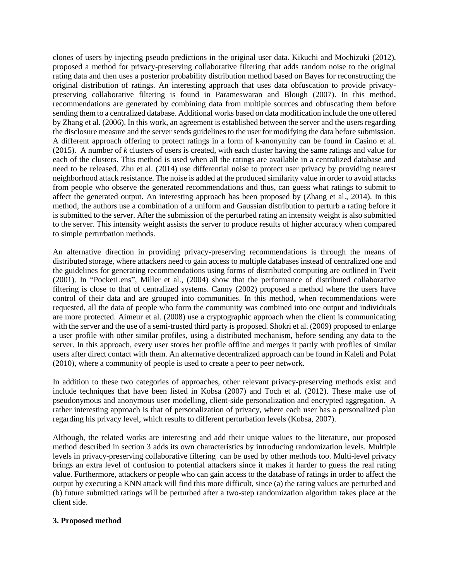clones of users by injecting pseudo predictions in the original user data. Kikuchi and Mochizuki (2012), proposed a method for privacy-preserving collaborative filtering that adds random noise to the original rating data and then uses a posterior probability distribution method based on Bayes for reconstructing the original distribution of ratings. An interesting approach that uses data obfuscation to provide privacypreserving collaborative filtering is found in Parameswaran and Blough (2007). In this method, recommendations are generated by combining data from multiple sources and obfuscating them before sending them to a centralized database. Additional works based on data modification include the one offered by Zhang et al. (2006). In this work, an agreement is established between the server and the users regarding the disclosure measure and the server sends guidelines to the user for modifying the data before submission. A different approach offering to protect ratings in a form of k-anonymity can be found in Casino et al. (2015). A number of *k* clusters of users is created, with each cluster having the same ratings and value for each of the clusters. This method is used when all the ratings are available in a centralized database and need to be released. Zhu et al. (2014) use differential noise to protect user privacy by providing nearest neighborhood attack resistance. The noise is added at the produced similarity value in order to avoid attacks from people who observe the generated recommendations and thus, can guess what ratings to submit to affect the generated output. An interesting approach has been proposed by (Zhang et al., 2014). In this method, the authors use a combination of a uniform and Gaussian distribution to perturb a rating before it is submitted to the server. After the submission of the perturbed rating an intensity weight is also submitted to the server. This intensity weight assists the server to produce results of higher accuracy when compared to simple perturbation methods.

An alternative direction in providing privacy-preserving recommendations is through the means of distributed storage, where attackers need to gain access to multiple databases instead of centralized one and the guidelines for generating recommendations using forms of distributed computing are outlined in Tveit (2001). In "PocketLens", Miller et al., (2004) show that the performance of distributed collaborative filtering is close to that of centralized systems. Canny (2002) proposed a method where the users have control of their data and are grouped into communities. In this method, when recommendations were requested, all the data of people who form the community was combined into one output and individuals are more protected. Aimeur et al. (2008) use a cryptographic approach when the client is communicating with the server and the use of a semi-trusted third party is proposed. Shokri et al. (2009) proposed to enlarge a user profile with other similar profiles, using a distributed mechanism, before sending any data to the server. In this approach, every user stores her profile offline and merges it partly with profiles of similar users after direct contact with them. An alternative decentralized approach can be found in Kaleli and Polat (2010), where a community of people is used to create a peer to peer network.

In addition to these two categories of approaches, other relevant privacy-preserving methods exist and include techniques that have been listed in Kobsa (2007) and Toch et al. (2012). These make use of pseudonymous and anonymous user modelling, client-side personalization and encrypted aggregation. A rather interesting approach is that of personalization of privacy, where each user has a personalized plan regarding his privacy level, which results to different perturbation levels (Kobsa, 2007).

Although, the related works are interesting and add their unique values to the literature, our proposed method described in section 3 adds its own characteristics by introducing randomization levels. Multiple levels in privacy-preserving collaborative filtering can be used by other methods too. Multi-level privacy brings an extra level of confusion to potential attackers since it makes it harder to guess the real rating value. Furthermore, attackers or people who can gain access to the database of ratings in order to affect the output by executing a KNN attack will find this more difficult, since (a) the rating values are perturbed and (b) future submitted ratings will be perturbed after a two-step randomization algorithm takes place at the client side.

## **3. Proposed method**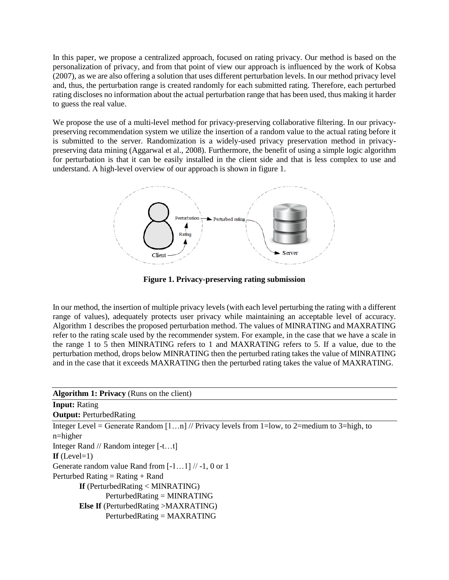In this paper, we propose a centralized approach, focused on rating privacy. Our method is based on the personalization of privacy, and from that point of view our approach is influenced by the work of Kobsa (2007), as we are also offering a solution that uses different perturbation levels. In our method privacy level and, thus, the perturbation range is created randomly for each submitted rating. Therefore, each perturbed rating discloses no information about the actual perturbation range that has been used, thus making it harder to guess the real value.

We propose the use of a multi-level method for privacy-preserving collaborative filtering. In our privacypreserving recommendation system we utilize the insertion of a random value to the actual rating before it is submitted to the server. Randomization is a widely-used privacy preservation method in privacypreserving data mining (Aggarwal et al., 2008). Furthermore, the benefit of using a simple logic algorithm for perturbation is that it can be easily installed in the client side and that is less complex to use and understand. Α high-level overview of our approach is shown in figure 1.



**Figure 1. Privacy-preserving rating submission**

In our method, the insertion of multiple privacy levels (with each level perturbing the rating with a different range of values), adequately protects user privacy while maintaining an acceptable level of accuracy. Algorithm 1 describes the proposed perturbation method. The values of MINRATING and MAXRATING refer to the rating scale used by the recommender system. For example, in the case that we have a scale in the range 1 to 5 then MINRATING refers to 1 and MAXRATING refers to 5. If a value, due to the perturbation method, drops below MINRATING then the perturbed rating takes the value of MINRATING and in the case that it exceeds MAXRATING then the perturbed rating takes the value of MAXRATING.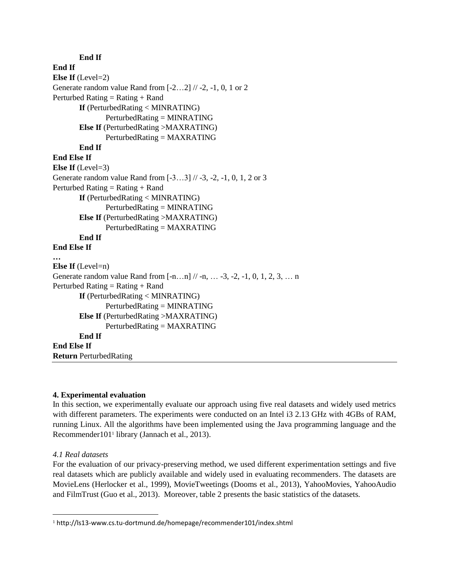#### **End If**

**End If Else If** (Level=2) Generate random value Rand from [-2…2] // -2, -1, 0, 1 or 2 Perturbed Rating  $=$  Rating  $+$  Rand **If** (PerturbedRating < MINRATING) PerturbedRating = MINRATING **Else If** (PerturbedRating >MAXRATING) PerturbedRating = MAXRATING **End If End Else If Else If** (Level=3) Generate random value Rand from [-3…3] // -3, -2, -1, 0, 1, 2 or 3 Perturbed Rating  $=$  Rating  $+$  Rand **If** (PerturbedRating < MINRATING) PerturbedRating = MINRATING **Else If** (PerturbedRating >MAXRATING) PerturbedRating = MAXRATING **End If End Else If … Else If** (Level=n) Generate random value Rand from [-n…n] // -n, … -3, -2, -1, 0, 1, 2, 3, … n Perturbed Rating  $=$  Rating  $+$  Rand **If** (PerturbedRating < MINRATING) PerturbedRating = MINRATING **Else If** (PerturbedRating >MAXRATING) PerturbedRating = MAXRATING **End If End Else If Return** PerturbedRating

## **4. Experimental evaluation**

In this section, we experimentally evaluate our approach using five real datasets and widely used metrics with different parameters. The experiments were conducted on an Intel i3 2.13 GHz with 4GBs of RAM, running Linux. All the algorithms have been implemented using the Java programming language and the Recommender101<sup>1</sup> library (Jannach et al., 2013).

## *4.1 Real datasets*

 $\overline{\phantom{a}}$ 

For the evaluation of our privacy-preserving method, we used different experimentation settings and five real datasets which are publicly available and widely used in evaluating recommenders. The datasets are MovieLens (Herlocker et al., 1999), MovieTweetings (Dooms et al., 2013), YahooMovies, YahooAudio and FilmTrust (Guo et al., 2013). Moreover, table 2 presents the basic statistics of the datasets.

<sup>1</sup> http://ls13-www.cs.tu-dortmund.de/homepage/recommender101/index.shtml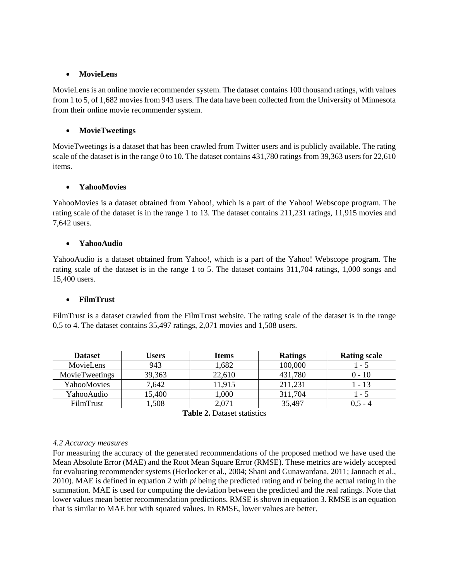## • **MovieLens**

MovieLens is an online movie recommender system. The dataset contains 100 thousand ratings, with values from 1 to 5, of 1,682 movies from 943 users. The data have been collected from the University of Minnesota from their online movie recommender system.

# • **MovieTweetings**

MovieTweetings is a dataset that has been crawled from Twitter users and is publicly available. The rating scale of the dataset is in the range 0 to 10. The dataset contains 431,780 ratings from 39,363 users for 22,610 items.

# • **YahooMovies**

YahooMovies is a dataset obtained from Yahoo!, which is a part of the Yahoo! Webscope program. The rating scale of the dataset is in the range 1 to 13. The dataset contains 211,231 ratings, 11,915 movies and 7,642 users.

# • **YahooAudio**

YahooAudio is a dataset obtained from Yahoo!, which is a part of the Yahoo! Webscope program. The rating scale of the dataset is in the range 1 to 5. The dataset contains 311,704 ratings, 1,000 songs and 15,400 users.

## • **FilmTrust**

FilmTrust is a dataset crawled from the FilmTrust website. The rating scale of the dataset is in the range 0,5 to 4. The dataset contains 35,497 ratings, 2,071 movies and 1,508 users.

| <b>Dataset</b>   | <b>Users</b> | Items  | <b>Ratings</b> | <b>Rating scale</b> |
|------------------|--------------|--------|----------------|---------------------|
| <b>MovieLens</b> | 943          | 1,682  | 100,000        | 1 - 5               |
| MovieTweetings   | 39,363       | 22,610 | 431,780        | $0 - 10$            |
| YahooMovies      | 7,642        | 11,915 | 211,231        | 1 - 13              |
| YahooAudio       | 15,400       | 000.1  | 311,704        | 1 - 5               |
| <b>FilmTrust</b> | 1,508        | 2,071  | 35,497         | 0.5 - 4             |

**Table 2.** Dataset statistics

## *4.2 Accuracy measures*

For measuring the accuracy of the generated recommendations of the proposed method we have used the Mean Absolute Error (MAE) and the Root Mean Square Error (RMSE). These metrics are widely accepted for evaluating recommender systems (Herlocker et al., 2004; Shani and Gunawardana, 2011; Jannach et al., 2010). MAE is defined in equation 2 with *pi* being the predicted rating and *ri* being the actual rating in the summation. MAE is used for computing the deviation between the predicted and the real ratings. Note that lower values mean better recommendation predictions. RMSE is shown in equation 3. RMSE is an equation that is similar to MAE but with squared values. In RMSE, lower values are better.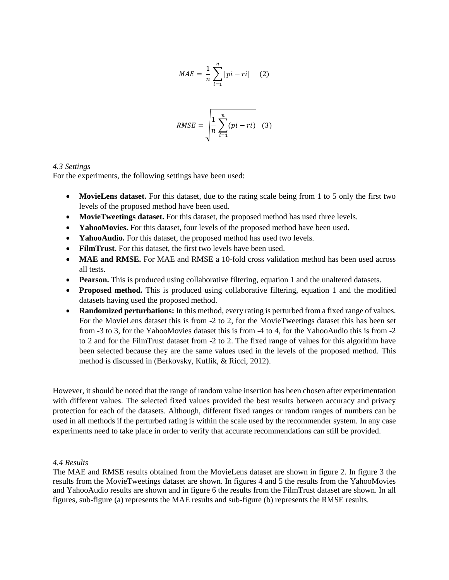$$
MAE = \frac{1}{n} \sum_{i=1}^{n} |pi - ri| \quad (2)
$$

$$
RMSE = \sqrt{\frac{1}{n} \sum_{i=1}^{n} (pi - ri)}
$$
 (3)

#### *4.3 Settings*

For the experiments, the following settings have been used:

- **MovieLens dataset.** For this dataset, due to the rating scale being from 1 to 5 only the first two levels of the proposed method have been used.
- **MovieTweetings dataset.** For this dataset, the proposed method has used three levels.
- **YahooMovies.** For this dataset, four levels of the proposed method have been used.
- YahooAudio. For this dataset, the proposed method has used two levels.
- **FilmTrust.** For this dataset, the first two levels have been used.
- **MAE and RMSE.** For MAE and RMSE a 10-fold cross validation method has been used across all tests.
- **Pearson.** This is produced using collaborative filtering, equation 1 and the unaltered datasets.
- **Proposed method.** This is produced using collaborative filtering, equation 1 and the modified datasets having used the proposed method.
- **Randomized perturbations:** In this method, every rating is perturbed from a fixed range of values. For the MovieLens dataset this is from -2 to 2, for the MovieTweetings dataset this has been set from -3 to 3, for the YahooMovies dataset this is from -4 to 4, for the YahooAudio this is from -2 to 2 and for the FilmTrust dataset from -2 to 2. The fixed range of values for this algorithm have been selected because they are the same values used in the levels of the proposed method. This method is discussed in (Berkovsky, Kuflik, & Ricci, 2012).

However, it should be noted that the range of random value insertion has been chosen after experimentation with different values. The selected fixed values provided the best results between accuracy and privacy protection for each of the datasets. Although, different fixed ranges or random ranges of numbers can be used in all methods if the perturbed rating is within the scale used by the recommender system. In any case experiments need to take place in order to verify that accurate recommendations can still be provided.

#### *4.4 Results*

The MAE and RMSE results obtained from the MovieLens dataset are shown in figure 2. In figure 3 the results from the MovieTweetings dataset are shown. In figures 4 and 5 the results from the YahooMovies and YahooAudio results are shown and in figure 6 the results from the FilmTrust dataset are shown. In all figures, sub-figure (a) represents the MAE results and sub-figure (b) represents the RMSE results.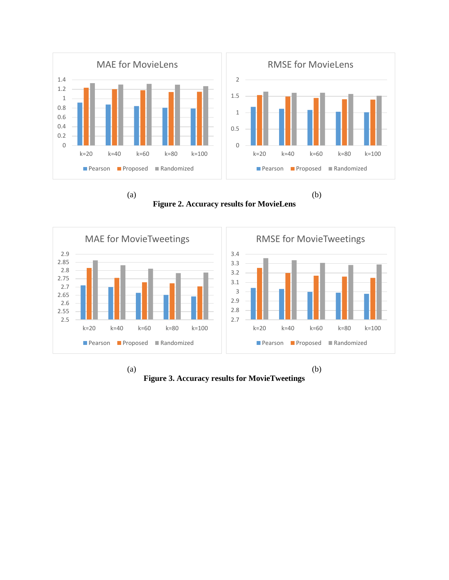

**Figure 2. Accuracy results for MovieLens**



 $(a)$  (b) **Figure 3. Accuracy results for MovieTweetings**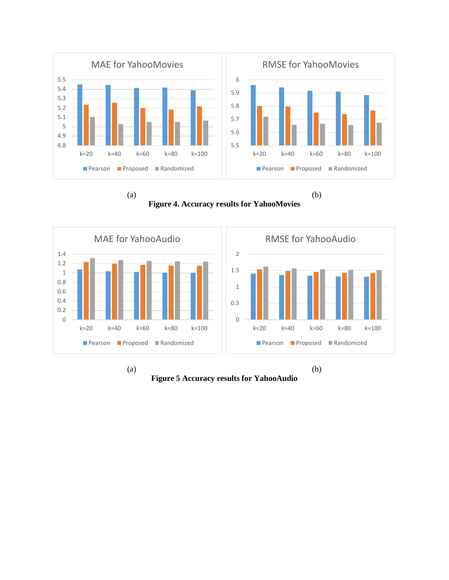

**Figure 4. Accuracy results for YahooMovies**



 $(a)$  (b) **Figure 5 Accuracy results for YahooAudio**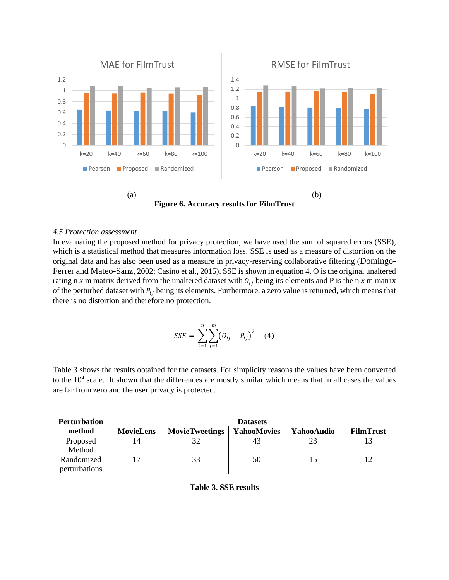

**Figure 6. Accuracy results for FilmTrust**

#### *4.5 Protection assessment*

In evaluating the proposed method for privacy protection, we have used the sum of squared errors (SSE), which is a statistical method that measures information loss. SSE is used as a measure of distortion on the original data and has also been used as a measure in privacy-reserving collaborative filtering (Domingo-Ferrer and Mateo-Sanz, 2002; Casino et al., 2015). SSE is shown in equation 4. O is the original unaltered rating n x m matrix derived from the unaltered dataset with  $o_{ij}$  being its elements and P is the n x m matrix of the perturbed dataset with  $P_{ij}$  being its elements. Furthermore, a zero value is returned, which means that there is no distortion and therefore no protection.

$$
SSE = \sum_{i=1}^{n} \sum_{j=1}^{m} (O_{ij} - P_{ij})^{2} \quad (4)
$$

Table 3 shows the results obtained for the datasets. For simplicity reasons the values have been converted to the  $10<sup>4</sup>$  scale. It shown that the differences are mostly similar which means that in all cases the values are far from zero and the user privacy is protected.

| <b>Perturbation</b> | <b>Datasets</b>  |                       |                    |            |                  |
|---------------------|------------------|-----------------------|--------------------|------------|------------------|
| method              | <b>MovieLens</b> | <b>MovieTweetings</b> | <b>YahooMovies</b> | YahooAudio | <b>FilmTrust</b> |
| Proposed            | 14               |                       | 45                 | 23         |                  |
| Method              |                  |                       |                    |            |                  |
| Randomized          |                  |                       | 50                 |            |                  |
| perturbations       |                  |                       |                    |            |                  |

#### **Table 3. SSE results**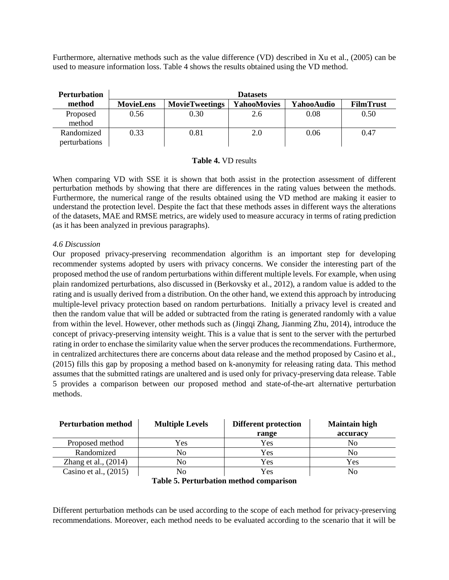Furthermore, alternative methods such as the value difference (VD) described in Xu et al., (2005) can be used to measure information loss. Table 4 shows the results obtained using the VD method.

| <b>Perturbation</b>         | Datasets         |                       |                    |            |                  |
|-----------------------------|------------------|-----------------------|--------------------|------------|------------------|
| method                      | <b>MovieLens</b> | <b>MovieTweetings</b> | <b>YahooMovies</b> | YahooAudio | <b>FilmTrust</b> |
| Proposed<br>method          | 0.56             | 0.30                  | 2.6                | 0.08       | 0.50             |
| Randomized<br>perturbations | 0.33             | 0.81                  | 2.0                | 0.06       | 0.47             |

#### **Table 4.** VD results

When comparing VD with SSE it is shown that both assist in the protection assessment of different perturbation methods by showing that there are differences in the rating values between the methods. Furthermore, the numerical range of the results obtained using the VD method are making it easier to understand the protection level. Despite the fact that these methods asses in different ways the alterations of the datasets, MAE and RMSE metrics, are widely used to measure accuracy in terms of rating prediction (as it has been analyzed in previous paragraphs).

#### *4.6 Discussion*

Our proposed privacy-preserving recommendation algorithm is an important step for developing recommender systems adopted by users with privacy concerns. We consider the interesting part of the proposed method the use of random perturbations within different multiple levels. For example, when using plain randomized perturbations, also discussed in (Berkovsky et al., 2012), a random value is added to the rating and is usually derived from a distribution. On the other hand, we extend this approach by introducing multiple-level privacy protection based on random perturbations. Initially a privacy level is created and then the random value that will be added or subtracted from the rating is generated randomly with a value from within the level. However, other methods such as (Jingqi Zhang, Jianming Zhu, 2014), introduce the concept of privacy-preserving intensity weight. This is a value that is sent to the server with the perturbed rating in order to enchase the similarity value when the server produces the recommendations. Furthermore, in centralized architectures there are concerns about data release and the method proposed by Casino et al., (2015) fills this gap by proposing a method based on k-anonymity for releasing rating data. This method assumes that the submitted ratings are unaltered and is used only for privacy-preserving data release. Table 5 provides a comparison between our proposed method and state-of-the-art alternative perturbation methods.

| <b>Perturbation method</b> | <b>Multiple Levels</b> | <b>Different protection</b> | <b>Maintain high</b> |  |
|----------------------------|------------------------|-----------------------------|----------------------|--|
|                            |                        | range                       | accuracy             |  |
| Proposed method            | Yes                    | Yes                         | No                   |  |
| Randomized                 | No                     | Yes                         | N٥                   |  |
| Zhang et al., $(2014)$     | No                     | Yes                         | Yes                  |  |
| Casino et al., $(2015)$    | No                     | Yes                         |                      |  |

**Table 5. Perturbation method comparison**

Different perturbation methods can be used according to the scope of each method for privacy-preserving recommendations. Moreover, each method needs to be evaluated according to the scenario that it will be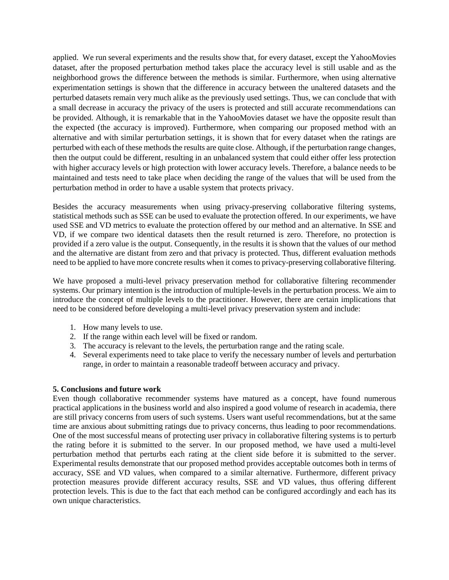applied. We run several experiments and the results show that, for every dataset, except the YahooMovies dataset, after the proposed perturbation method takes place the accuracy level is still usable and as the neighborhood grows the difference between the methods is similar. Furthermore, when using alternative experimentation settings is shown that the difference in accuracy between the unaltered datasets and the perturbed datasets remain very much alike as the previously used settings. Thus, we can conclude that with a small decrease in accuracy the privacy of the users is protected and still accurate recommendations can be provided. Although, it is remarkable that in the YahooMovies dataset we have the opposite result than the expected (the accuracy is improved). Furthermore, when comparing our proposed method with an alternative and with similar perturbation settings, it is shown that for every dataset when the ratings are perturbed with each of these methods the results are quite close. Although, if the perturbation range changes, then the output could be different, resulting in an unbalanced system that could either offer less protection with higher accuracy levels or high protection with lower accuracy levels. Therefore, a balance needs to be maintained and tests need to take place when deciding the range of the values that will be used from the perturbation method in order to have a usable system that protects privacy.

Besides the accuracy measurements when using privacy-preserving collaborative filtering systems, statistical methods such as SSE can be used to evaluate the protection offered. In our experiments, we have used SSE and VD metrics to evaluate the protection offered by our method and an alternative. In SSE and VD, if we compare two identical datasets then the result returned is zero. Therefore, no protection is provided if a zero value is the output. Consequently, in the results it is shown that the values of our method and the alternative are distant from zero and that privacy is protected. Thus, different evaluation methods need to be applied to have more concrete results when it comes to privacy-preserving collaborative filtering.

We have proposed a multi-level privacy preservation method for collaborative filtering recommender systems. Our primary intention is the introduction of multiple-levels in the perturbation process. We aim to introduce the concept of multiple levels to the practitioner. However, there are certain implications that need to be considered before developing a multi-level privacy preservation system and include:

- 1. How many levels to use.
- 2. If the range within each level will be fixed or random.
- 3. The accuracy is relevant to the levels, the perturbation range and the rating scale.
- 4. Several experiments need to take place to verify the necessary number of levels and perturbation range, in order to maintain a reasonable tradeoff between accuracy and privacy.

## **5. Conclusions and future work**

Even though collaborative recommender systems have matured as a concept, have found numerous practical applications in the business world and also inspired a good volume of research in academia, there are still privacy concerns from users of such systems. Users want useful recommendations, but at the same time are anxious about submitting ratings due to privacy concerns, thus leading to poor recommendations. One of the most successful means of protecting user privacy in collaborative filtering systems is to perturb the rating before it is submitted to the server. In our proposed method, we have used a multi-level perturbation method that perturbs each rating at the client side before it is submitted to the server. Experimental results demonstrate that our proposed method provides acceptable outcomes both in terms of accuracy, SSE and VD values, when compared to a similar alternative. Furthermore, different privacy protection measures provide different accuracy results, SSE and VD values, thus offering different protection levels. This is due to the fact that each method can be configured accordingly and each has its own unique characteristics.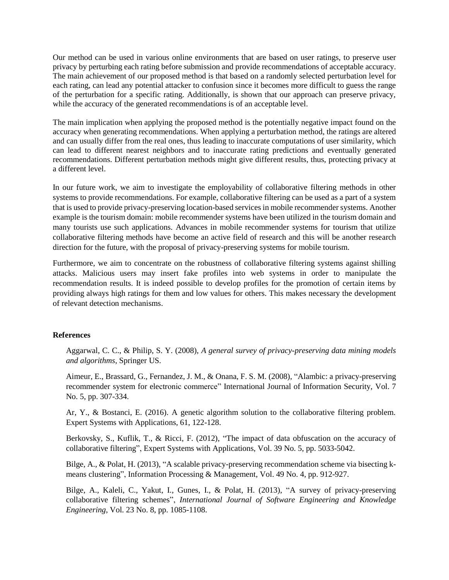Our method can be used in various online environments that are based on user ratings, to preserve user privacy by perturbing each rating before submission and provide recommendations of acceptable accuracy. The main achievement of our proposed method is that based on a randomly selected perturbation level for each rating, can lead any potential attacker to confusion since it becomes more difficult to guess the range of the perturbation for a specific rating. Additionally, is shown that our approach can preserve privacy, while the accuracy of the generated recommendations is of an acceptable level.

The main implication when applying the proposed method is the potentially negative impact found on the accuracy when generating recommendations. When applying a perturbation method, the ratings are altered and can usually differ from the real ones, thus leading to inaccurate computations of user similarity, which can lead to different nearest neighbors and to inaccurate rating predictions and eventually generated recommendations. Different perturbation methods might give different results, thus, protecting privacy at a different level.

In our future work, we aim to investigate the employability of collaborative filtering methods in other systems to provide recommendations. For example, collaborative filtering can be used as a part of a system that is used to provide privacy-preserving location-based services in mobile recommender systems. Another example is the tourism domain: mobile recommender systems have been utilized in the tourism domain and many tourists use such applications. Advances in mobile recommender systems for tourism that utilize collaborative filtering methods have become an active field of research and this will be another research direction for the future, with the proposal of privacy-preserving systems for mobile tourism.

Furthermore, we aim to concentrate on the robustness of collaborative filtering systems against shilling attacks. Malicious users may insert fake profiles into web systems in order to manipulate the recommendation results. It is indeed possible to develop profiles for the promotion of certain items by providing always high ratings for them and low values for others. This makes necessary the development of relevant detection mechanisms.

## **References**

Aggarwal, C. C., & Philip, S. Y. (2008), *A general survey of privacy-preserving data mining models and algorithms*, Springer US.

Aimeur, E., Brassard, G., Fernandez, J. M., & Onana, F. S. M. (2008), "Alambic: a privacy-preserving recommender system for electronic commerce" International Journal of Information Security, Vol. 7 No. 5, pp. 307-334.

Ar, Y., & Bostanci, E. (2016). A genetic algorithm solution to the collaborative filtering problem. Expert Systems with Applications, 61, 122-128.

Berkovsky, S., Kuflik, T., & Ricci, F. (2012), "The impact of data obfuscation on the accuracy of collaborative filtering", Expert Systems with Applications, Vol. 39 No. 5, pp. 5033-5042.

Bilge, A., & Polat, H. (2013), "A scalable privacy-preserving recommendation scheme via bisecting kmeans clustering", Information Processing & Management, Vol. 49 No. 4, pp. 912-927.

Bilge, A., Kaleli, C., Yakut, I., Gunes, I., & Polat, H. (2013), "A survey of privacy-preserving collaborative filtering schemes", *International Journal of Software Engineering and Knowledge Engineering*, Vol. 23 No. 8, pp. 1085-1108.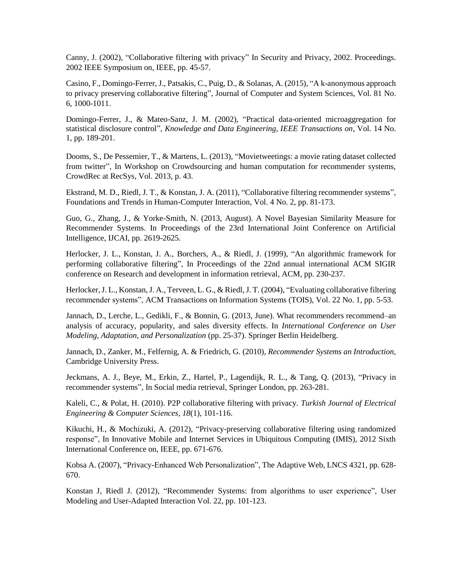Canny, J. (2002), "Collaborative filtering with privacy" In Security and Privacy, 2002. Proceedings. 2002 IEEE Symposium on, IEEE, pp. 45-57.

Casino, F., Domingo-Ferrer, J., Patsakis, C., Puig, D., & Solanas, A. (2015), "A k-anonymous approach to privacy preserving collaborative filtering", Journal of Computer and System Sciences, Vol. 81 No. 6, 1000-1011.

Domingo-Ferrer, J., & Mateo-Sanz, J. M. (2002), "Practical data-oriented microaggregation for statistical disclosure control", *Knowledge and Data Engineering, IEEE Transactions on*, Vol. 14 No. 1, pp. 189-201.

Dooms, S., De Pessemier, T., & Martens, L. (2013), "Movietweetings: a movie rating dataset collected from twitter", In Workshop on Crowdsourcing and human computation for recommender systems, CrowdRec at RecSys, Vol. 2013, p. 43.

Ekstrand, M. D., Riedl, J. T., & Konstan, J. A. (2011), "Collaborative filtering recommender systems", Foundations and Trends in Human-Computer Interaction, Vol. 4 No. 2, pp. 81-173.

Guo, G., Zhang, J., & Yorke-Smith, N. (2013, August). A Novel Bayesian Similarity Measure for Recommender Systems. In Proceedings of the 23rd International Joint Conference on Artificial Intelligence, IJCAI, pp. 2619-2625.

Herlocker, J. L., Konstan, J. A., Borchers, A., & Riedl, J. (1999), "An algorithmic framework for performing collaborative filtering", In Proceedings of the 22nd annual international ACM SIGIR conference on Research and development in information retrieval, ACM, pp. 230-237.

Herlocker, J. L., Konstan, J. A., Terveen, L. G., & Riedl, J. T. (2004), "Evaluating collaborative filtering recommender systems", ACM Transactions on Information Systems (TOIS), Vol. 22 No. 1, pp. 5-53.

Jannach, D., Lerche, L., Gedikli, F., & Bonnin, G. (2013, June). What recommenders recommend–an analysis of accuracy, popularity, and sales diversity effects. In *International Conference on User Modeling, Adaptation, and Personalization* (pp. 25-37). Springer Berlin Heidelberg.

Jannach, D., Zanker, M., Felfernig, A. & Friedrich, G. (2010), *Recommender Systems an Introduction,* Cambridge University Press.

Jeckmans, A. J., Beye, M., Erkin, Z., Hartel, P., Lagendijk, R. L., & Tang, Q. (2013), "Privacy in recommender systems", In Social media retrieval, Springer London, pp. 263-281.

Kaleli, C., & Polat, H. (2010). P2P collaborative filtering with privacy. *Turkish Journal of Electrical Engineering & Computer Sciences*, *18*(1), 101-116.

Kikuchi, H., & Mochizuki, A. (2012), "Privacy-preserving collaborative filtering using randomized response", In Innovative Mobile and Internet Services in Ubiquitous Computing (IMIS), 2012 Sixth International Conference on, IEEE, pp. 671-676.

Kobsa A. (2007), "Privacy-Enhanced Web Personalization", The Adaptive Web, LNCS 4321, pp. 628- 670.

Konstan J, Riedl J. (2012), "Recommender Systems: from algorithms to user experience", User Modeling and User-Adapted Interaction Vol. 22, pp. 101-123.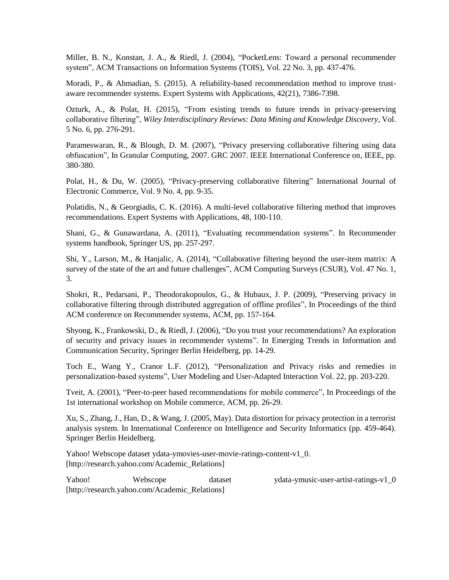Miller, B. N., Konstan, J. A., & Riedl, J. (2004), "PocketLens: Toward a personal recommender system", ACM Transactions on Information Systems (TOIS), Vol. 22 No. 3, pp. 437-476.

Moradi, P., & Ahmadian, S. (2015). A reliability-based recommendation method to improve trustaware recommender systems. Expert Systems with Applications, 42(21), 7386-7398.

Ozturk, A., & Polat, H. (2015), "From existing trends to future trends in privacy‐preserving collaborative filtering", *Wiley Interdisciplinary Reviews: Data Mining and Knowledge Discovery*, Vol. 5 No. 6, pp. 276-291.

Parameswaran, R., & Blough, D. M. (2007), "Privacy preserving collaborative filtering using data obfuscation", In Granular Computing, 2007. GRC 2007. IEEE International Conference on, IEEE, pp. 380-380.

Polat, H., & Du, W. (2005), "Privacy-preserving collaborative filtering" International Journal of Electronic Commerce, Vol. 9 No. 4, pp. 9-35.

Polatidis, N., & Georgiadis, C. K. (2016). A multi-level collaborative filtering method that improves recommendations. Expert Systems with Applications, 48, 100-110.

Shani, G., & Gunawardana, A. (2011), "Evaluating recommendation systems". In Recommender systems handbook, Springer US, pp. 257-297.

Shi, Y., Larson, M., & Hanjalic, A. (2014), "Collaborative filtering beyond the user-item matrix: A survey of the state of the art and future challenges", ACM Computing Surveys (CSUR), Vol. 47 No. 1, 3.

Shokri, R., Pedarsani, P., Theodorakopoulos, G., & Hubaux, J. P. (2009), "Preserving privacy in collaborative filtering through distributed aggregation of offline profiles", In Proceedings of the third ACM conference on Recommender systems, ACM, pp. 157-164.

Shyong, K., Frankowski, D., & Riedl, J. (2006), "Do you trust your recommendations? An exploration of security and privacy issues in recommender systems". In Emerging Trends in Information and Communication Security, Springer Berlin Heidelberg, pp. 14-29.

Toch E., Wang Y., Cranor L.F. (2012), "Personalization and Privacy risks and remedies in personalization-based systems", User Modeling and User-Adapted Interaction Vol. 22, pp. 203-220.

Tveit, A. (2001), "Peer-to-peer based recommendations for mobile commerce", In Proceedings of the 1st international workshop on Mobile commerce, ACM, pp. 26-29.

Xu, S., Zhang, J., Han, D., & Wang, J. (2005, May). Data distortion for privacy protection in a terrorist analysis system. In International Conference on Intelligence and Security Informatics (pp. 459-464). Springer Berlin Heidelberg.

Yahoo! Webscope dataset ydata-ymovies-user-movie-ratings-content-v1\_0. [http://research.yahoo.com/Academic\_Relations]

Yahoo! Webscope dataset ydata-ymusic-user-artist-ratings-v1\_0 [http://research.yahoo.com/Academic\_Relations]